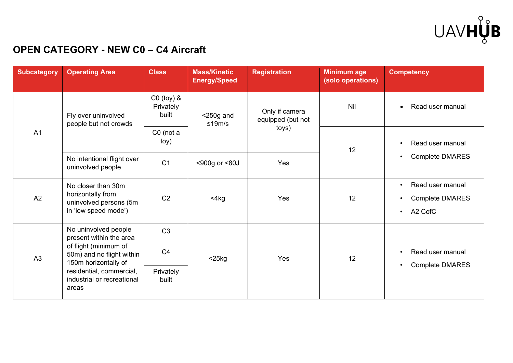

## **OPEN CATEGORY - NEW C0 – C4 Aircraft**

| <b>Subcategory</b> | <b>Operating Area</b>                                                                                                                                                                            | <b>Class</b>                         | <b>Mass/Kinetic</b><br><b>Energy/Speed</b> | <b>Registration</b>                          | <b>Minimum age</b><br>(solo operations) | <b>Competency</b>                                                                                        |
|--------------------|--------------------------------------------------------------------------------------------------------------------------------------------------------------------------------------------------|--------------------------------------|--------------------------------------------|----------------------------------------------|-----------------------------------------|----------------------------------------------------------------------------------------------------------|
| A <sub>1</sub>     | Fly over uninvolved<br>people but not crowds                                                                                                                                                     | $CO$ (toy) $&$<br>Privately<br>built | $<$ 250g and<br>≤19m/s                     | Only if camera<br>equipped (but not<br>toys) | Nil                                     | Read user manual<br>$\bullet$                                                                            |
|                    |                                                                                                                                                                                                  | $CO$ (not a<br>toy)                  |                                            |                                              | 12                                      | Read user manual<br>$\bullet$<br><b>Complete DMARES</b><br>$\bullet$                                     |
|                    | No intentional flight over<br>uninvolved people                                                                                                                                                  | C <sub>1</sub>                       | <900g or <80J                              | Yes                                          |                                         |                                                                                                          |
| A2                 | No closer than 30m<br>horizontally from<br>uninvolved persons (5m<br>in 'low speed mode')                                                                                                        | C <sub>2</sub>                       | $<$ 4 $kg$                                 | Yes                                          | 12                                      | Read user manual<br>$\bullet$<br><b>Complete DMARES</b><br>$\bullet$<br>A <sub>2</sub> CofC<br>$\bullet$ |
| A3                 | No uninvolved people<br>present within the area<br>of flight (minimum of<br>50m) and no flight within<br>150m horizontally of<br>residential, commercial,<br>industrial or recreational<br>areas | C <sub>3</sub>                       | $<$ 25 $kg$                                | Yes                                          | 12                                      |                                                                                                          |
|                    |                                                                                                                                                                                                  | C <sub>4</sub>                       |                                            |                                              |                                         | Read user manual<br>$\bullet$<br><b>Complete DMARES</b><br>$\bullet$                                     |
|                    |                                                                                                                                                                                                  | Privately<br>built                   |                                            |                                              |                                         |                                                                                                          |